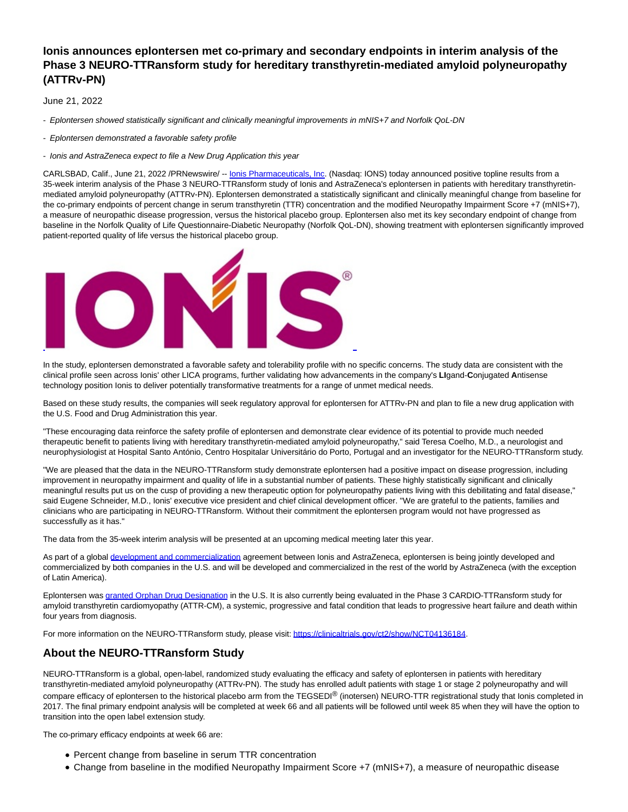# **Ionis announces eplontersen met co-primary and secondary endpoints in interim analysis of the Phase 3 NEURO-TTRansform study for hereditary transthyretin-mediated amyloid polyneuropathy (ATTRv-PN)**

June 21, 2022

- Eplontersen showed statistically significant and clinically meaningful improvements in mNIS+7 and Norfolk QoL-DN

- Eplontersen demonstrated a favorable safety profile

- Ionis and AstraZeneca expect to file a New Drug Application this year

CARLSBAD, Calif., June 21, 2022 /PRNewswire/ -- **Ionis Pharmaceuticals, Inc.** (Nasdaq: IONS) today announced positive topline results from a 35-week interim analysis of the Phase 3 NEURO-TTRansform study of Ionis and AstraZeneca's eplontersen in patients with hereditary transthyretinmediated amyloid polyneuropathy (ATTRv-PN). Eplontersen demonstrated a statistically significant and clinically meaningful change from baseline for the co-primary endpoints of percent change in serum transthyretin (TTR) concentration and the modified Neuropathy Impairment Score +7 (mNIS+7), a measure of neuropathic disease progression, versus the historical placebo group. Eplontersen also met its key secondary endpoint of change from baseline in the Norfolk Quality of Life Questionnaire-Diabetic Neuropathy (Norfolk QoL-DN), showing treatment with eplontersen significantly improved patient-reported quality of life versus the historical placebo group.



In the study, eplontersen demonstrated a favorable safety and tolerability profile with no specific concerns. The study data are consistent with the clinical profile seen across Ionis' other LICA programs, further validating how advancements in the company's **LI**gand-**C**onjugated **A**ntisense technology position Ionis to deliver potentially transformative treatments for a range of unmet medical needs.

Based on these study results, the companies will seek regulatory approval for eplontersen for ATTRv-PN and plan to file a new drug application with the U.S. Food and Drug Administration this year.

"These encouraging data reinforce the safety profile of eplontersen and demonstrate clear evidence of its potential to provide much needed therapeutic benefit to patients living with hereditary transthyretin-mediated amyloid polyneuropathy," said Teresa Coelho, M.D., a neurologist and neurophysiologist at Hospital Santo António, Centro Hospitalar Universitário do Porto, Portugal and an investigator for the NEURO-TTRansform study.

"We are pleased that the data in the NEURO-TTRansform study demonstrate eplontersen had a positive impact on disease progression, including improvement in neuropathy impairment and quality of life in a substantial number of patients. These highly statistically significant and clinically meaningful results put us on the cusp of providing a new therapeutic option for polyneuropathy patients living with this debilitating and fatal disease," said Eugene Schneider, M.D., Ionis' executive vice president and chief clinical development officer. "We are grateful to the patients, families and clinicians who are participating in NEURO-TTRansform. Without their commitment the eplontersen program would not have progressed as successfully as it has."

The data from the 35-week interim analysis will be presented at an upcoming medical meeting later this year.

As part of a global [development and commercialization a](https://c212.net/c/link/?t=0&l=en&o=3572635-1&h=3661678188&u=https%3A%2F%2Fir.ionispharma.com%2Fnews-releases%2Fnews-release-details%2Fionis-and-astrazeneca-develop-and-commercialize-eplontersen&a=development+and+commercialization)greement between Ionis and AstraZeneca, eplontersen is being jointly developed and commercialized by both companies in the U.S. and will be developed and commercialized in the rest of the world by AstraZeneca (with the exception of Latin America).

Eplontersen was [granted Orphan Drug Designation i](https://c212.net/c/link/?t=0&l=en&o=3572635-1&h=3494040610&u=https%3A%2F%2Fir.ionispharma.com%2Fnews-releases%2Fnews-release-details%2Fionis-announces-eplontersen-receives-orphan-drug-designation-us&a=granted+Orphan+Drug+Designation)n the U.S. It is also currently being evaluated in the Phase 3 CARDIO-TTRansform study for amyloid transthyretin cardiomyopathy (ATTR-CM), a systemic, progressive and fatal condition that leads to progressive heart failure and death within four years from diagnosis.

For more information on the NEURO-TTRansform study, please visit[: https://clinicaltrials.gov/ct2/show/NCT04136184.](https://c212.net/c/link/?t=0&l=en&o=3572635-1&h=3413367886&u=https%3A%2F%2Fclinicaltrials.gov%2Fct2%2Fshow%2FNCT04136184&a=https%3A%2F%2Fclinicaltrials.gov%2Fct2%2Fshow%2FNCT04136184)

### **About the NEURO-TTRansform Study**

NEURO-TTRansform is a global, open-label, randomized study evaluating the efficacy and safety of eplontersen in patients with hereditary transthyretin-mediated amyloid polyneuropathy (ATTRv-PN). The study has enrolled adult patients with stage 1 or stage 2 polyneuropathy and will compare efficacy of eplontersen to the historical placebo arm from the TEGSEDI® (inotersen) NEURO-TTR registrational study that Ionis completed in 2017. The final primary endpoint analysis will be completed at week 66 and all patients will be followed until week 85 when they will have the option to transition into the open label extension study.

The co-primary efficacy endpoints at week 66 are:

- Percent change from baseline in serum TTR concentration
- Change from baseline in the modified Neuropathy Impairment Score +7 (mNIS+7), a measure of neuropathic disease